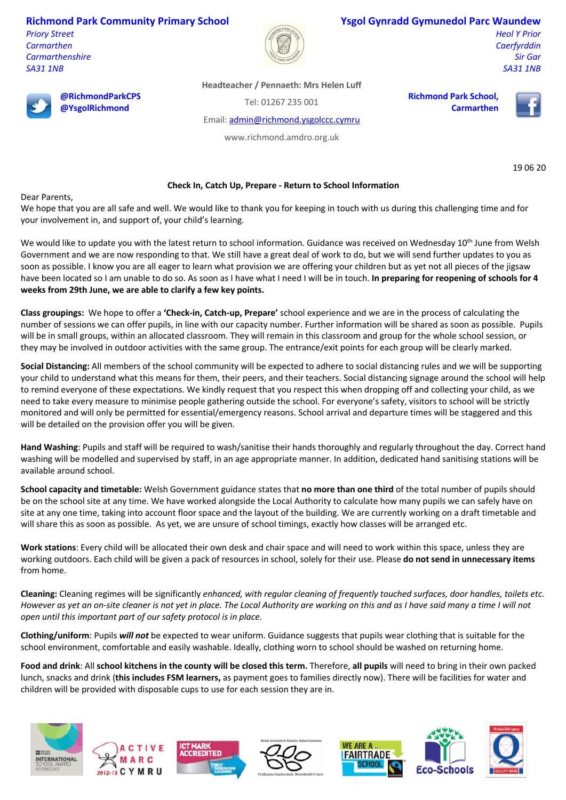**Richmond Park Community Primary School**

*Priory Street Carmarthen Carmarthenshire SA31 1NB*



## **Ysgol Gynradd Gymunedol Parc Waundew**

**Richmond Park School,** 

**Carmarthen**

*Heol Y Prior Caerfyrddin Sir Gar SA31 1NB*



**@RichmondParkCPS @YsgolRichmond**

**Headteacher / Pennaeth: Mrs Helen Luff**

Tel: 01267 235 001

Email: admin@richmond.ysgolccc.cymru

www.richmond.amdro.org.uk

19 06 20

## **Check In, Catch Up, Prepare - Return to School Information**

Dear Parents,

We hope that you are all safe and well. We would like to thank you for keeping in touch with us during this challenging time and for your involvement in, and support of, your child's learning.

We would like to update you with the latest return to school information. Guidance was received on Wednesday 10<sup>th</sup> June from Welsh Government and we are now responding to that. We still have a great deal of work to do, but we will send further updates to you as soon as possible. I know you are all eager to learn what provision we are offering your children but as yet not all pieces of the jigsaw have been located so I am unable to do so. As soon as I have what I need I will be in touch. **In preparing for reopening of schools for 4 weeks from 29th June, we are able to clarify a few key points.**

**Class groupings:** We hope to offer a **'Check-in, Catch-up, Prepare'** school experience and we are in the process of calculating the number of sessions we can offer pupils, in line with our capacity number. Further information will be shared as soon as possible. Pupils will be in small groups, within an allocated classroom. They will remain in this classroom and group for the whole school session, or they may be involved in outdoor activities with the same group. The entrance/exit points for each group will be clearly marked.

**Social Distancing:** All members of the school community will be expected to adhere to social distancing rules and we will be supporting your child to understand what this means for them, their peers, and their teachers. Social distancing signage around the school will help to remind everyone of these expectations. We kindly request that you respect this when dropping off and collecting your child, as we need to take every measure to minimise people gathering outside the school. For everyone's safety, visitors to school will be strictly monitored and will only be permitted for essential/emergency reasons. School arrival and departure times will be staggered and this will be detailed on the provision offer you will be given.

**Hand Washing**: Pupils and staff will be required to wash/sanitise their hands thoroughly and regularly throughout the day. Correct hand washing will be modelled and supervised by staff, in an age appropriate manner. In addition, dedicated hand sanitising stations will be available around school.

**School capacity and timetable:** Welsh Government guidance states that **no more than one third** of the total number of pupils should be on the school site at any time. We have worked alongside the Local Authority to calculate how many pupils we can safely have on site at any one time, taking into account floor space and the layout of the building. We are currently working on a draft timetable and will share this as soon as possible. As yet, we are unsure of school timings, exactly how classes will be arranged etc.

**Work stations**: Every child will be allocated their own desk and chair space and will need to work within this space, unless they are working outdoors. Each child will be given a pack of resources in school, solely for their use. Please **do not send in unnecessary items** from home.

**Cleaning:** Cleaning regimes will be significantly *enhanced, with regular cleaning of frequently touched surfaces, door handles, toilets etc. However as yet an on-site cleaner is not yet in place. The Local Authority are working on this and as I have said many a time I will not open until this important part of our safety protocol is in place.*

**Clothing/uniform**: Pupils *will not* be expected to wear uniform. Guidance suggests that pupils wear clothing that is suitable for the school environment, comfortable and easily washable. Ideally, clothing worn to school should be washed on returning home.

**Food and drink**: All **school kitchens in the county will be closed this term.** Therefore, **all pupils** will need to bring in their own packed lunch, snacks and drink (**this includes FSM learners,** as payment goes to families directly now). There will be facilities for water and children will be provided with disposable cups to use for each session they are in.